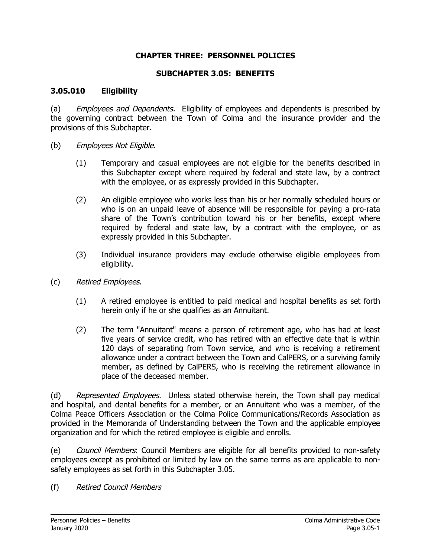## **CHAPTER THREE: PERSONNEL POLICIES**

#### **SUBCHAPTER 3.05: BENEFITS**

#### **3.05.010 Eligibility**

(a) Employees and Dependents. Eligibility of employees and dependents is prescribed by the governing contract between the Town of Colma and the insurance provider and the provisions of this Subchapter.

- (b) Employees Not Eligible.
	- (1) Temporary and casual employees are not eligible for the benefits described in this Subchapter except where required by federal and state law, by a contract with the employee, or as expressly provided in this Subchapter.
	- (2) An eligible employee who works less than his or her normally scheduled hours or who is on an unpaid leave of absence will be responsible for paying a pro-rata share of the Town's contribution toward his or her benefits, except where required by federal and state law, by a contract with the employee, or as expressly provided in this Subchapter.
	- (3) Individual insurance providers may exclude otherwise eligible employees from eligibility.
- (c) Retired Employees.
	- (1) A retired employee is entitled to paid medical and hospital benefits as set forth herein only if he or she qualifies as an Annuitant.
	- (2) The term "Annuitant" means a person of retirement age, who has had at least five years of service credit, who has retired with an effective date that is within 120 days of separating from Town service, and who is receiving a retirement allowance under a contract between the Town and CalPERS, or a surviving family member, as defined by CalPERS, who is receiving the retirement allowance in place of the deceased member.

(d) Represented Employees. Unless stated otherwise herein, the Town shall pay medical and hospital, and dental benefits for a member, or an Annuitant who was a member, of the Colma Peace Officers Association or the Colma Police Communications/Records Association as provided in the Memoranda of Understanding between the Town and the applicable employee organization and for which the retired employee is eligible and enrolls.

(e) Council Members: Council Members are eligible for all benefits provided to non-safety employees except as prohibited or limited by law on the same terms as are applicable to nonsafety employees as set forth in this Subchapter 3.05.

(f) Retired Council Members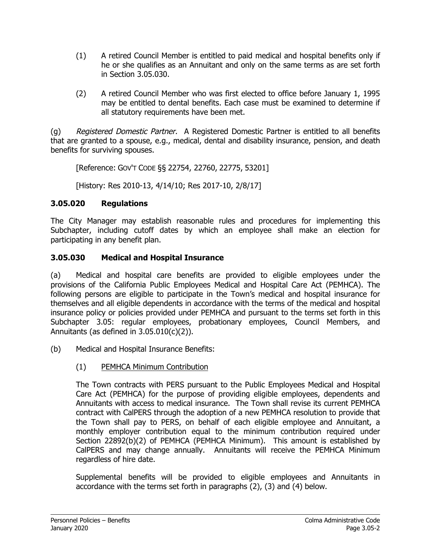- (1) A retired Council Member is entitled to paid medical and hospital benefits only if he or she qualifies as an Annuitant and only on the same terms as are set forth in Section 3.05.030.
- (2) A retired Council Member who was first elected to office before January 1, 1995 may be entitled to dental benefits. Each case must be examined to determine if all statutory requirements have been met.

(g) Registered Domestic Partner. A Registered Domestic Partner is entitled to all benefits that are granted to a spouse, e.g., medical, dental and disability insurance, pension, and death benefits for surviving spouses.

[Reference: GOV'T CODE §§ 22754, 22760, 22775, 53201]

[History: Res 2010-13, 4/14/10; Res 2017-10, 2/8/17]

## **3.05.020 Regulations**

The City Manager may establish reasonable rules and procedures for implementing this Subchapter, including cutoff dates by which an employee shall make an election for participating in any benefit plan.

## **3.05.030 Medical and Hospital Insurance**

(a) Medical and hospital care benefits are provided to eligible employees under the provisions of the California Public Employees Medical and Hospital Care Act (PEMHCA). The following persons are eligible to participate in the Town's medical and hospital insurance for themselves and all eligible dependents in accordance with the terms of the medical and hospital insurance policy or policies provided under PEMHCA and pursuant to the terms set forth in this Subchapter 3.05: regular employees, probationary employees, Council Members, and Annuitants (as defined in  $3.05.010(c)(2)$ ).

- (b) Medical and Hospital Insurance Benefits:
	- (1) PEMHCA Minimum Contribution

The Town contracts with PERS pursuant to the Public Employees Medical and Hospital Care Act (PEMHCA) for the purpose of providing eligible employees, dependents and Annuitants with access to medical insurance. The Town shall revise its current PEMHCA contract with CalPERS through the adoption of a new PEMHCA resolution to provide that the Town shall pay to PERS, on behalf of each eligible employee and Annuitant, a monthly employer contribution equal to the minimum contribution required under Section 22892(b)(2) of PEMHCA (PEMHCA Minimum). This amount is established by CalPERS and may change annually. Annuitants will receive the PEMHCA Minimum regardless of hire date.

Supplemental benefits will be provided to eligible employees and Annuitants in accordance with the terms set forth in paragraphs (2), (3) and (4) below.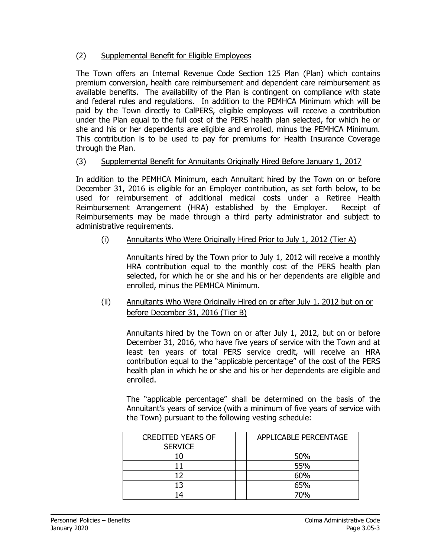## (2) Supplemental Benefit for Eligible Employees

The Town offers an Internal Revenue Code Section 125 Plan (Plan) which contains premium conversion, health care reimbursement and dependent care reimbursement as available benefits. The availability of the Plan is contingent on compliance with state and federal rules and regulations. In addition to the PEMHCA Minimum which will be paid by the Town directly to CalPERS, eligible employees will receive a contribution under the Plan equal to the full cost of the PERS health plan selected, for which he or she and his or her dependents are eligible and enrolled, minus the PEMHCA Minimum. This contribution is to be used to pay for premiums for Health Insurance Coverage through the Plan.

### (3) Supplemental Benefit for Annuitants Originally Hired Before January 1, 2017

In addition to the PEMHCA Minimum, each Annuitant hired by the Town on or before December 31, 2016 is eligible for an Employer contribution, as set forth below, to be used for reimbursement of additional medical costs under a Retiree Health Reimbursement Arrangement (HRA) established by the Employer. Receipt of Reimbursements may be made through a third party administrator and subject to administrative requirements.

## (i) Annuitants Who Were Originally Hired Prior to July 1, 2012 (Tier A)

Annuitants hired by the Town prior to July 1, 2012 will receive a monthly HRA contribution equal to the monthly cost of the PERS health plan selected, for which he or she and his or her dependents are eligible and enrolled, minus the PEMHCA Minimum.

(ii) Annuitants Who Were Originally Hired on or after July 1, 2012 but on or before December 31, 2016 (Tier B)

Annuitants hired by the Town on or after July 1, 2012, but on or before December 31, 2016, who have five years of service with the Town and at least ten years of total PERS service credit, will receive an HRA contribution equal to the "applicable percentage" of the cost of the PERS health plan in which he or she and his or her dependents are eligible and enrolled.

The "applicable percentage" shall be determined on the basis of the Annuitant's years of service (with a minimum of five years of service with the Town) pursuant to the following vesting schedule:

| <b>CREDITED YEARS OF</b> | APPLICABLE PERCENTAGE |
|--------------------------|-----------------------|
| <b>SERVICE</b>           |                       |
| 10                       | 50%                   |
|                          | 55%                   |
| 12                       | 60%                   |
| 13                       | 65%                   |
| Δ                        | 70%                   |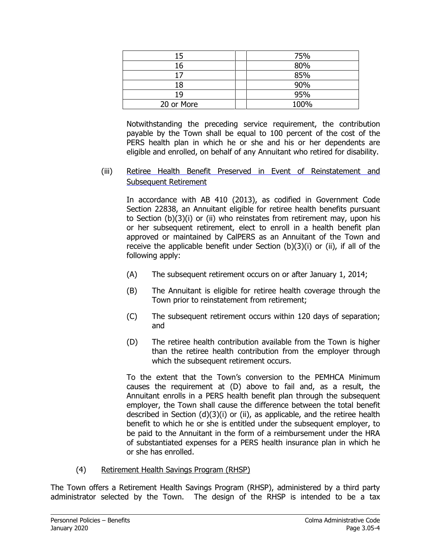| 15         | 75%  |
|------------|------|
| 16         | 80%  |
| 17         | 85%  |
| 18         | 90%  |
| 19         | 95%  |
| 20 or More | 100% |

Notwithstanding the preceding service requirement, the contribution payable by the Town shall be equal to 100 percent of the cost of the PERS health plan in which he or she and his or her dependents are eligible and enrolled, on behalf of any Annuitant who retired for disability.

(iii) Retiree Health Benefit Preserved in Event of Reinstatement and Subsequent Retirement

In accordance with AB 410 (2013), as codified in Government Code Section 22838, an Annuitant eligible for retiree health benefits pursuant to Section (b)(3)(i) or (ii) who reinstates from retirement may, upon his or her subsequent retirement, elect to enroll in a health benefit plan approved or maintained by CalPERS as an Annuitant of the Town and receive the applicable benefit under Section (b)(3)(i) or (ii), if all of the following apply:

- (A) The subsequent retirement occurs on or after January 1, 2014;
- (B) The Annuitant is eligible for retiree health coverage through the Town prior to reinstatement from retirement;
- (C) The subsequent retirement occurs within 120 days of separation; and
- (D) The retiree health contribution available from the Town is higher than the retiree health contribution from the employer through which the subsequent retirement occurs.

To the extent that the Town's conversion to the PEMHCA Minimum causes the requirement at (D) above to fail and, as a result, the Annuitant enrolls in a PERS health benefit plan through the subsequent employer, the Town shall cause the difference between the total benefit described in Section (d)(3)(i) or (ii), as applicable, and the retiree health benefit to which he or she is entitled under the subsequent employer, to be paid to the Annuitant in the form of a reimbursement under the HRA of substantiated expenses for a PERS health insurance plan in which he or she has enrolled.

(4) Retirement Health Savings Program (RHSP)

The Town offers a Retirement Health Savings Program (RHSP), administered by a third party administrator selected by the Town. The design of the RHSP is intended to be a tax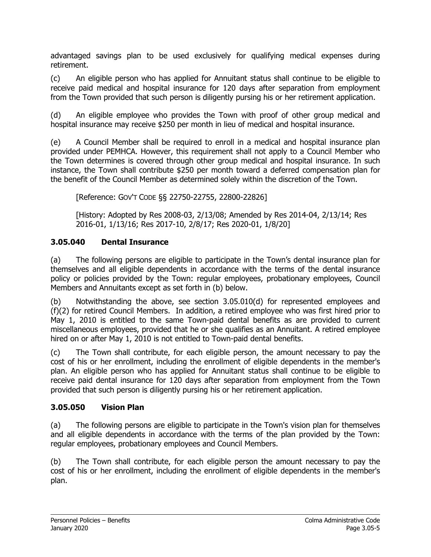advantaged savings plan to be used exclusively for qualifying medical expenses during retirement.

(c) An eligible person who has applied for Annuitant status shall continue to be eligible to receive paid medical and hospital insurance for 120 days after separation from employment from the Town provided that such person is diligently pursing his or her retirement application.

(d) An eligible employee who provides the Town with proof of other group medical and hospital insurance may receive \$250 per month in lieu of medical and hospital insurance.

(e) A Council Member shall be required to enroll in a medical and hospital insurance plan provided under PEMHCA. However, this requirement shall not apply to a Council Member who the Town determines is covered through other group medical and hospital insurance. In such instance, the Town shall contribute \$250 per month toward a deferred compensation plan for the benefit of the Council Member as determined solely within the discretion of the Town.

[Reference: GOV'T CODE §§ 22750-22755, 22800-22826]

[History: Adopted by Res 2008-03, 2/13/08; Amended by Res 2014-04, 2/13/14; Res 2016-01, 1/13/16; Res 2017-10, 2/8/17; Res 2020-01, 1/8/20]

## **3.05.040 Dental Insurance**

(a) The following persons are eligible to participate in the Town's dental insurance plan for themselves and all eligible dependents in accordance with the terms of the dental insurance policy or policies provided by the Town: regular employees, probationary employees, Council Members and Annuitants except as set forth in (b) below.

(b) Notwithstanding the above, see section 3.05.010(d) for represented employees and (f)(2) for retired Council Members. In addition, a retired employee who was first hired prior to May 1, 2010 is entitled to the same Town-paid dental benefits as are provided to current miscellaneous employees, provided that he or she qualifies as an Annuitant. A retired employee hired on or after May 1, 2010 is not entitled to Town-paid dental benefits.

(c) The Town shall contribute, for each eligible person, the amount necessary to pay the cost of his or her enrollment, including the enrollment of eligible dependents in the member's plan. An eligible person who has applied for Annuitant status shall continue to be eligible to receive paid dental insurance for 120 days after separation from employment from the Town provided that such person is diligently pursing his or her retirement application.

## **3.05.050 Vision Plan**

(a) The following persons are eligible to participate in the Town's vision plan for themselves and all eligible dependents in accordance with the terms of the plan provided by the Town: regular employees, probationary employees and Council Members.

(b) The Town shall contribute, for each eligible person the amount necessary to pay the cost of his or her enrollment, including the enrollment of eligible dependents in the member's plan.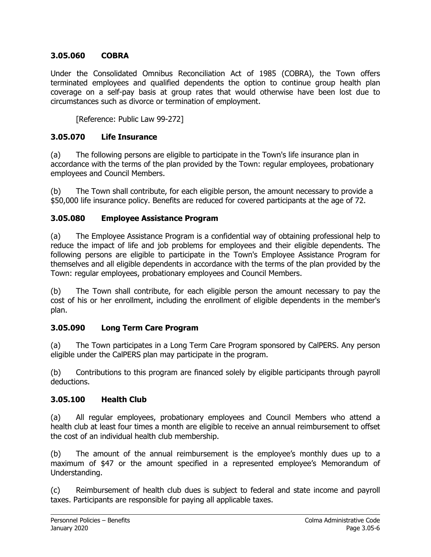## **3.05.060 COBRA**

Under the Consolidated Omnibus Reconciliation Act of 1985 (COBRA), the Town offers terminated employees and qualified dependents the option to continue group health plan coverage on a self-pay basis at group rates that would otherwise have been lost due to circumstances such as divorce or termination of employment.

[Reference: Public Law 99-272]

### **3.05.070 Life Insurance**

(a) The following persons are eligible to participate in the Town's life insurance plan in accordance with the terms of the plan provided by the Town: regular employees, probationary employees and Council Members.

(b) The Town shall contribute, for each eligible person, the amount necessary to provide a \$50,000 life insurance policy. Benefits are reduced for covered participants at the age of 72.

### **3.05.080 Employee Assistance Program**

(a) The Employee Assistance Program is a confidential way of obtaining professional help to reduce the impact of life and job problems for employees and their eligible dependents. The following persons are eligible to participate in the Town's Employee Assistance Program for themselves and all eligible dependents in accordance with the terms of the plan provided by the Town: regular employees, probationary employees and Council Members.

(b) The Town shall contribute, for each eligible person the amount necessary to pay the cost of his or her enrollment, including the enrollment of eligible dependents in the member's plan.

#### **3.05.090 Long Term Care Program**

(a) The Town participates in a Long Term Care Program sponsored by CalPERS. Any person eligible under the CalPERS plan may participate in the program.

(b) Contributions to this program are financed solely by eligible participants through payroll deductions.

#### **3.05.100 Health Club**

(a) All regular employees, probationary employees and Council Members who attend a health club at least four times a month are eligible to receive an annual reimbursement to offset the cost of an individual health club membership.

(b) The amount of the annual reimbursement is the employee's monthly dues up to a maximum of \$47 or the amount specified in a represented employee's Memorandum of Understanding.

(c) Reimbursement of health club dues is subject to federal and state income and payroll taxes. Participants are responsible for paying all applicable taxes.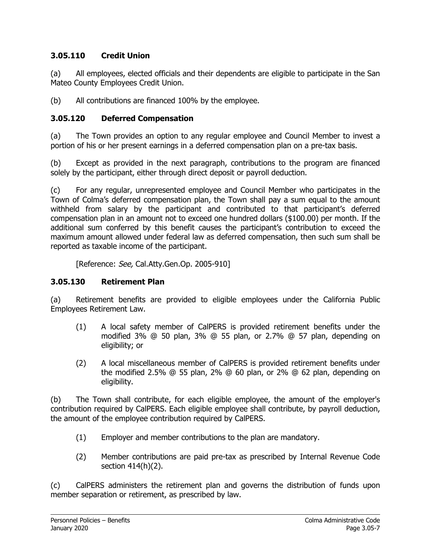## **3.05.110 Credit Union**

(a) All employees, elected officials and their dependents are eligible to participate in the San Mateo County Employees Credit Union.

(b) All contributions are financed 100% by the employee.

## **3.05.120 Deferred Compensation**

(a) The Town provides an option to any regular employee and Council Member to invest a portion of his or her present earnings in a deferred compensation plan on a pre-tax basis.

(b) Except as provided in the next paragraph, contributions to the program are financed solely by the participant, either through direct deposit or payroll deduction.

(c) For any regular, unrepresented employee and Council Member who participates in the Town of Colma's deferred compensation plan, the Town shall pay a sum equal to the amount withheld from salary by the participant and contributed to that participant's deferred compensation plan in an amount not to exceed one hundred dollars (\$100.00) per month. If the additional sum conferred by this benefit causes the participant's contribution to exceed the maximum amount allowed under federal law as deferred compensation, then such sum shall be reported as taxable income of the participant.

[Reference: See, Cal.Atty.Gen.Op. 2005-910]

## **3.05.130 Retirement Plan**

(a) Retirement benefits are provided to eligible employees under the California Public Employees Retirement Law.

- (1) A local safety member of CalPERS is provided retirement benefits under the modified 3% @ 50 plan, 3% @ 55 plan, or 2.7% @ 57 plan, depending on eligibility; or
- (2) A local miscellaneous member of CalPERS is provided retirement benefits under the modified 2.5% @ 55 plan, 2% @ 60 plan, or 2% @ 62 plan, depending on eligibility.

(b) The Town shall contribute, for each eligible employee, the amount of the employer's contribution required by CalPERS. Each eligible employee shall contribute, by payroll deduction, the amount of the employee contribution required by CalPERS.

- (1) Employer and member contributions to the plan are mandatory.
- (2) Member contributions are paid pre-tax as prescribed by Internal Revenue Code section 414(h)(2).

(c) CalPERS administers the retirement plan and governs the distribution of funds upon member separation or retirement, as prescribed by law.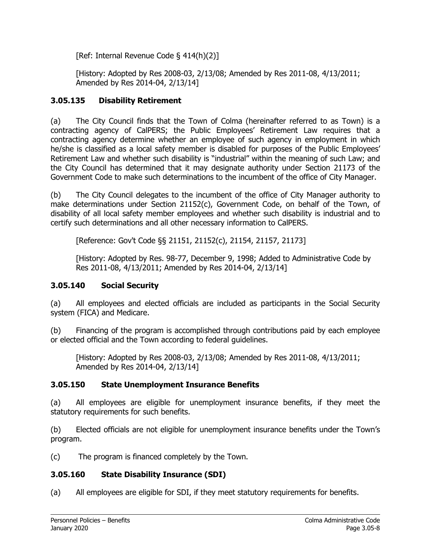[Ref: Internal Revenue Code § 414(h)(2)]

[History: Adopted by Res 2008-03, 2/13/08; Amended by Res 2011-08, 4/13/2011; Amended by Res 2014-04, 2/13/14]

## **3.05.135 Disability Retirement**

(a) The City Council finds that the Town of Colma (hereinafter referred to as Town) is a contracting agency of CalPERS; the Public Employees' Retirement Law requires that a contracting agency determine whether an employee of such agency in employment in which he/she is classified as a local safety member is disabled for purposes of the Public Employees' Retirement Law and whether such disability is "industrial" within the meaning of such Law; and the City Council has determined that it may designate authority under Section 21173 of the Government Code to make such determinations to the incumbent of the office of City Manager.

(b) The City Council delegates to the incumbent of the office of City Manager authority to make determinations under Section 21152(c), Government Code, on behalf of the Town, of disability of all local safety member employees and whether such disability is industrial and to certify such determinations and all other necessary information to CalPERS.

[Reference: Gov't Code §§ 21151, 21152(c), 21154, 21157, 21173]

[History: Adopted by Res. 98-77, December 9, 1998; Added to Administrative Code by Res 2011-08, 4/13/2011; Amended by Res 2014-04, 2/13/14]

## **3.05.140 Social Security**

(a) All employees and elected officials are included as participants in the Social Security system (FICA) and Medicare.

(b) Financing of the program is accomplished through contributions paid by each employee or elected official and the Town according to federal guidelines.

[History: Adopted by Res 2008-03, 2/13/08; Amended by Res 2011-08, 4/13/2011; Amended by Res 2014-04, 2/13/14]

## **3.05.150 State Unemployment Insurance Benefits**

(a) All employees are eligible for unemployment insurance benefits, if they meet the statutory requirements for such benefits.

(b) Elected officials are not eligible for unemployment insurance benefits under the Town's program.

(c) The program is financed completely by the Town.

# **3.05.160 State Disability Insurance (SDI)**

(a) All employees are eligible for SDI, if they meet statutory requirements for benefits.